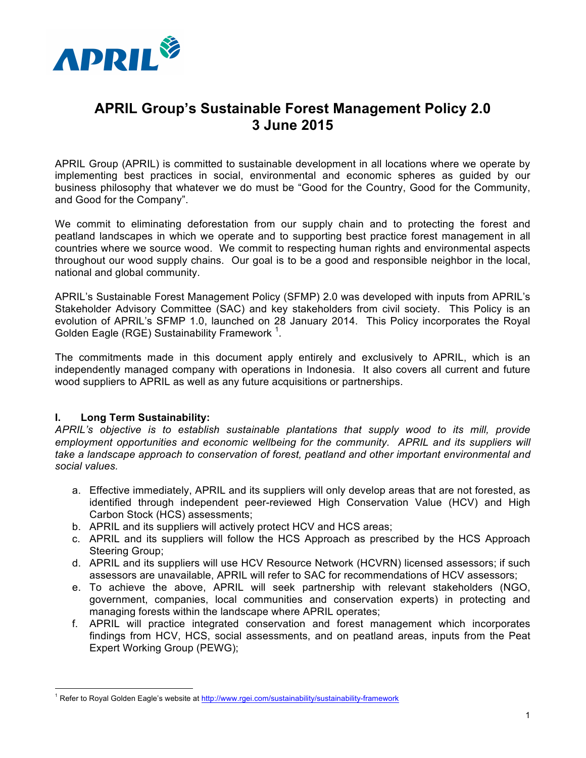

# **APRIL Group's Sustainable Forest Management Policy 2.0 3 June 2015**

APRIL Group (APRIL) is committed to sustainable development in all locations where we operate by implementing best practices in social, environmental and economic spheres as guided by our business philosophy that whatever we do must be "Good for the Country, Good for the Community, and Good for the Company".

We commit to eliminating deforestation from our supply chain and to protecting the forest and peatland landscapes in which we operate and to supporting best practice forest management in all countries where we source wood. We commit to respecting human rights and environmental aspects throughout our wood supply chains. Our goal is to be a good and responsible neighbor in the local, national and global community.

APRIL's Sustainable Forest Management Policy (SFMP) 2.0 was developed with inputs from APRIL's Stakeholder Advisory Committee (SAC) and key stakeholders from civil society. This Policy is an evolution of APRIL's SFMP 1.0, launched on 28 January 2014. This Policy incorporates the Royal Golden Eagle (RGE) Sustainability Framework  $^1$ .

The commitments made in this document apply entirely and exclusively to APRIL, which is an independently managed company with operations in Indonesia. It also covers all current and future wood suppliers to APRIL as well as any future acquisitions or partnerships.

## **I. Long Term Sustainability:**

 $\overline{a}$ 

*APRIL's objective is to establish sustainable plantations that supply wood to its mill, provide*  employment opportunities and economic wellbeing for the community. APRIL and its suppliers will *take a landscape approach to conservation of forest, peatland and other important environmental and social values.*

- a. Effective immediately, APRIL and its suppliers will only develop areas that are not forested, as identified through independent peer-reviewed High Conservation Value (HCV) and High Carbon Stock (HCS) assessments;
- b. APRIL and its suppliers will actively protect HCV and HCS areas;
- c. APRIL and its suppliers will follow the HCS Approach as prescribed by the HCS Approach Steering Group;
- d. APRIL and its suppliers will use HCV Resource Network (HCVRN) licensed assessors; if such assessors are unavailable, APRIL will refer to SAC for recommendations of HCV assessors;
- e. To achieve the above, APRIL will seek partnership with relevant stakeholders (NGO, government, companies, local communities and conservation experts) in protecting and managing forests within the landscape where APRIL operates;
- f. APRIL will practice integrated conservation and forest management which incorporates findings from HCV, HCS, social assessments, and on peatland areas, inputs from the Peat Expert Working Group (PEWG);

<sup>&</sup>lt;sup>1</sup> Refer to Royal Golden Eagle's website at http://www.rgei.com/sustainability/sustainability-framework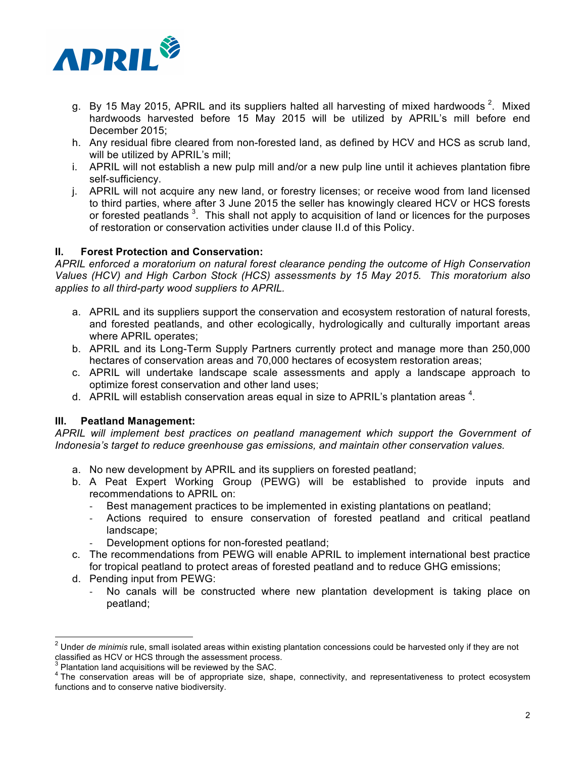

- g. By 15 May 2015, APRIL and its suppliers halted all harvesting of mixed hardwoods <sup>2</sup>. Mixed hardwoods harvested before 15 May 2015 will be utilized by APRIL's mill before end December 2015;
- h. Any residual fibre cleared from non-forested land, as defined by HCV and HCS as scrub land, will be utilized by APRIL's mill;
- i. APRIL will not establish a new pulp mill and/or a new pulp line until it achieves plantation fibre self-sufficiency.
- j. APRIL will not acquire any new land, or forestry licenses; or receive wood from land licensed to third parties, where after 3 June 2015 the seller has knowingly cleared HCV or HCS forests or forested peatlands  $3$ . This shall not apply to acquisition of land or licences for the purposes of restoration or conservation activities under clause II.d of this Policy.

## **II. Forest Protection and Conservation:**

*APRIL enforced a moratorium on natural forest clearance pending the outcome of High Conservation Values (HCV) and High Carbon Stock (HCS) assessments by 15 May 2015. This moratorium also applies to all third-party wood suppliers to APRIL.*

- a. APRIL and its suppliers support the conservation and ecosystem restoration of natural forests, and forested peatlands, and other ecologically, hydrologically and culturally important areas where APRIL operates;
- b. APRIL and its Long-Term Supply Partners currently protect and manage more than 250,000 hectares of conservation areas and 70,000 hectares of ecosystem restoration areas;
- c. APRIL will undertake landscape scale assessments and apply a landscape approach to optimize forest conservation and other land uses;
- d. APRIL will establish conservation areas equal in size to APRIL's plantation areas  $4$ .

## **III. Peatland Management:**

*APRIL will implement best practices on peatland management which support the Government of Indonesia's target to reduce greenhouse gas emissions, and maintain other conservation values.*

- a. No new development by APRIL and its suppliers on forested peatland;
- b. A Peat Expert Working Group (PEWG) will be established to provide inputs and recommendations to APRIL on:
	- Best management practices to be implemented in existing plantations on peatland;
	- Actions required to ensure conservation of forested peatland and critical peatland landscape;
	- Development options for non-forested peatland;
- c. The recommendations from PEWG will enable APRIL to implement international best practice for tropical peatland to protect areas of forested peatland and to reduce GHG emissions;
- d. Pending input from PEWG:
	- No canals will be constructed where new plantation development is taking place on peatland;

<sup>&</sup>lt;sup>2</sup> Under *de minimis* rule, small isolated areas within existing plantation concessions could be harvested only if they are not classified as HCV or HCS through the assessment process.

 $3$  Plantation land acquisitions will be reviewed by the SAC.<br> $4$  The conservation areas will be of appropriate size, shape, connectivity, and representativeness to protect ecosystem functions and to conserve native biodiversity.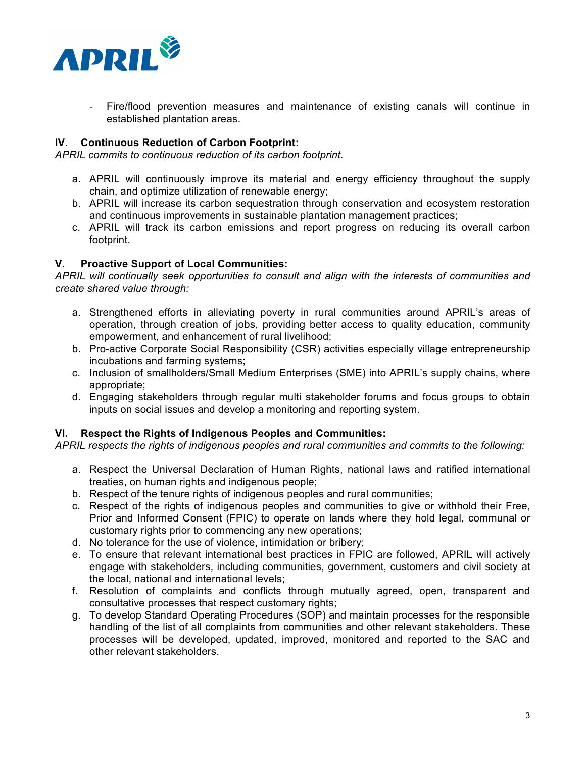

- Fire/flood prevention measures and maintenance of existing canals will continue in established plantation areas.

## **IV. Continuous Reduction of Carbon Footprint:**

*APRIL commits to continuous reduction of its carbon footprint.*

- a. APRIL will continuously improve its material and energy efficiency throughout the supply chain, and optimize utilization of renewable energy;
- b. APRIL will increase its carbon sequestration through conservation and ecosystem restoration and continuous improvements in sustainable plantation management practices;
- c. APRIL will track its carbon emissions and report progress on reducing its overall carbon footprint.

## **V. Proactive Support of Local Communities:**

*APRIL will continually seek opportunities to consult and align with the interests of communities and create shared value through:*

- a. Strengthened efforts in alleviating poverty in rural communities around APRIL's areas of operation, through creation of jobs, providing better access to quality education, community empowerment, and enhancement of rural livelihood;
- b. Pro-active Corporate Social Responsibility (CSR) activities especially village entrepreneurship incubations and farming systems;
- c. Inclusion of smallholders/Small Medium Enterprises (SME) into APRIL's supply chains, where appropriate;
- d. Engaging stakeholders through regular multi stakeholder forums and focus groups to obtain inputs on social issues and develop a monitoring and reporting system.

#### **VI. Respect the Rights of Indigenous Peoples and Communities:**

*APRIL respects the rights of indigenous peoples and rural communities and commits to the following:*

- a. Respect the Universal Declaration of Human Rights, national laws and ratified international treaties, on human rights and indigenous people;
- b. Respect of the tenure rights of indigenous peoples and rural communities;
- c. Respect of the rights of indigenous peoples and communities to give or withhold their Free, Prior and Informed Consent (FPIC) to operate on lands where they hold legal, communal or customary rights prior to commencing any new operations;
- d. No tolerance for the use of violence, intimidation or bribery;
- e. To ensure that relevant international best practices in FPIC are followed, APRIL will actively engage with stakeholders, including communities, government, customers and civil society at the local, national and international levels;
- f. Resolution of complaints and conflicts through mutually agreed, open, transparent and consultative processes that respect customary rights;
- g. To develop Standard Operating Procedures (SOP) and maintain processes for the responsible handling of the list of all complaints from communities and other relevant stakeholders. These processes will be developed, updated, improved, monitored and reported to the SAC and other relevant stakeholders.